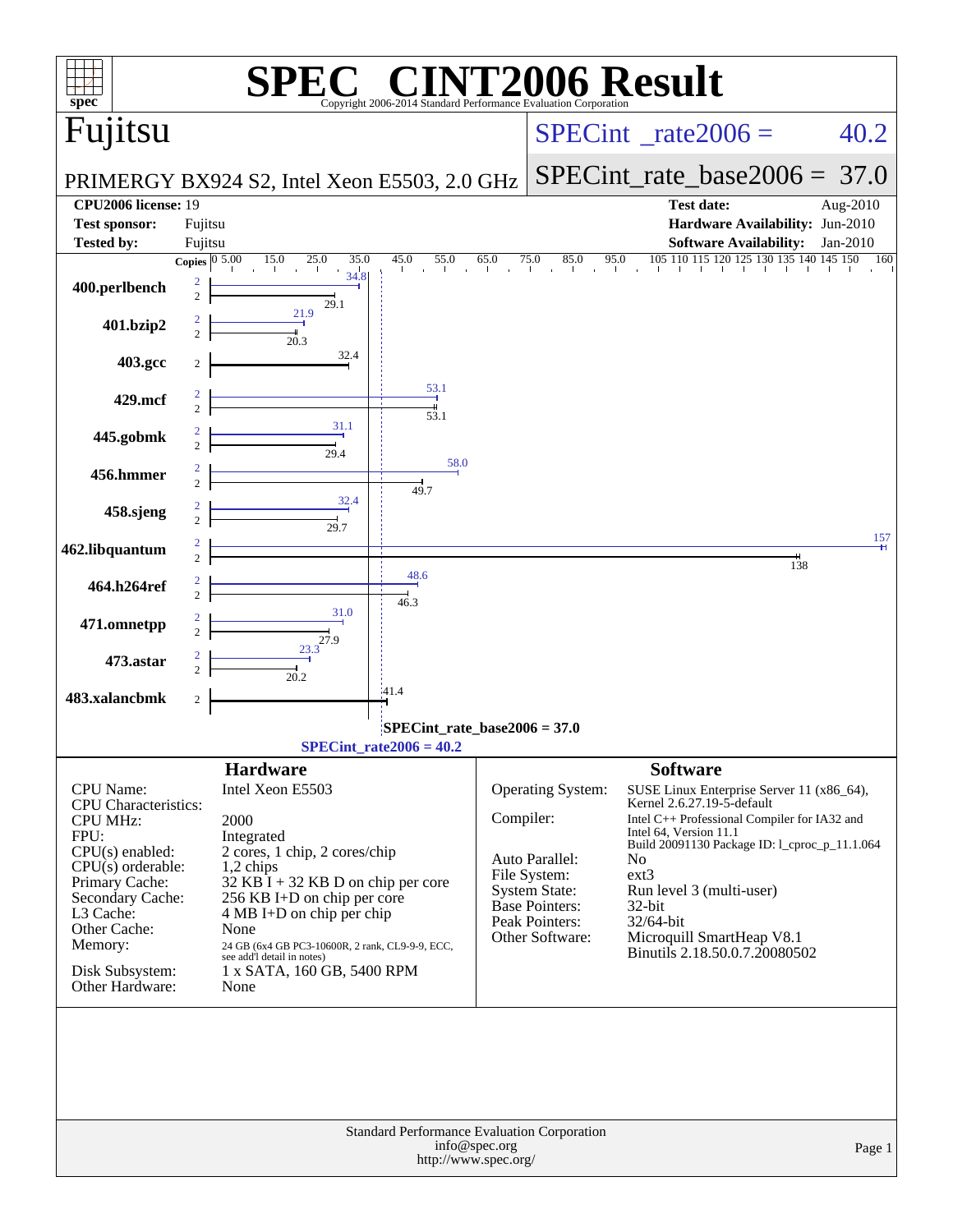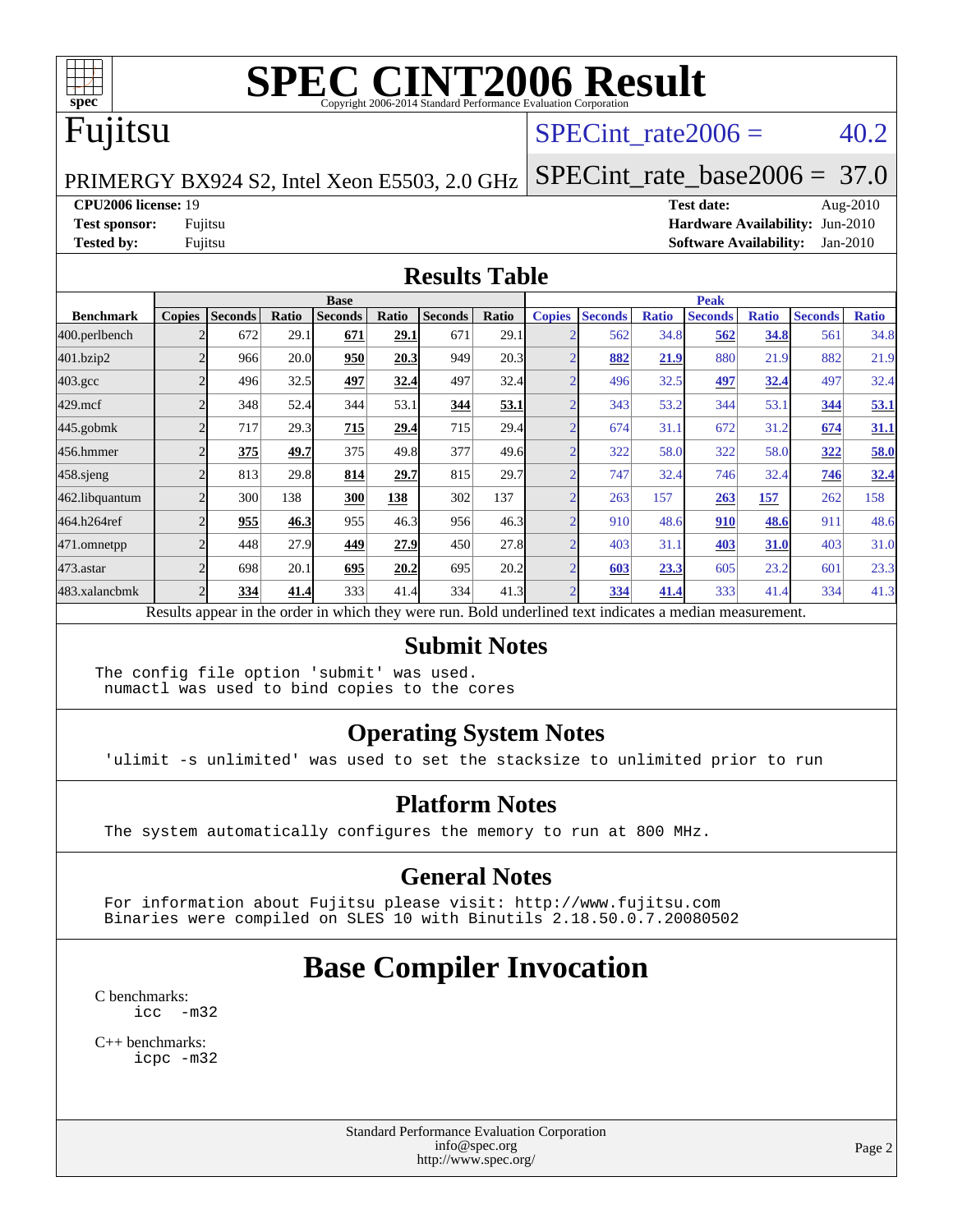

## Fujitsu

#### SPECint rate  $2006 = 40.2$

PRIMERGY BX924 S2, Intel Xeon E5503, 2.0 GHz [SPECint\\_rate\\_base2006 =](http://www.spec.org/auto/cpu2006/Docs/result-fields.html#SPECintratebase2006) 37.0

**[CPU2006 license:](http://www.spec.org/auto/cpu2006/Docs/result-fields.html#CPU2006license)** 19 **[Test date:](http://www.spec.org/auto/cpu2006/Docs/result-fields.html#Testdate)** Aug-2010 **[Test sponsor:](http://www.spec.org/auto/cpu2006/Docs/result-fields.html#Testsponsor)** Fujitsu **[Hardware Availability:](http://www.spec.org/auto/cpu2006/Docs/result-fields.html#HardwareAvailability)** Jun-2010 **[Tested by:](http://www.spec.org/auto/cpu2006/Docs/result-fields.html#Testedby)** Fujitsu **[Software Availability:](http://www.spec.org/auto/cpu2006/Docs/result-fields.html#SoftwareAvailability)** Jan-2010

#### **[Results Table](http://www.spec.org/auto/cpu2006/Docs/result-fields.html#ResultsTable)**

|                    | <b>Base</b>   |                |              |                                                                                                          |       |                |       | <b>Peak</b>   |                |              |                |              |                |              |
|--------------------|---------------|----------------|--------------|----------------------------------------------------------------------------------------------------------|-------|----------------|-------|---------------|----------------|--------------|----------------|--------------|----------------|--------------|
| <b>Benchmark</b>   | <b>Copies</b> | <b>Seconds</b> | <b>Ratio</b> | <b>Seconds</b>                                                                                           | Ratio | <b>Seconds</b> | Ratio | <b>Copies</b> | <b>Seconds</b> | <b>Ratio</b> | <b>Seconds</b> | <b>Ratio</b> | <b>Seconds</b> | <b>Ratio</b> |
| 400.perlbench      |               | 672            | 29.1         | 671                                                                                                      | 29.1  | 671            | 29.1  |               | 562            | 34.8         | 562            | 34.8         | 561            | 34.8         |
| 401.bzip2          |               | 966            | 20.0         | 950                                                                                                      | 20.3  | 949            | 20.3  |               | 882            | 21.9         | 880            | 21.9         | 882            | 21.9         |
| $403.\mathrm{gcc}$ |               | 496            | 32.5         | 497                                                                                                      | 32.4  | 497            | 32.4  |               | 496            | 32.5         | 497            | 32.4         | 497            | 32.4         |
| $429$ .mcf         |               | 348            | 52.4         | 344                                                                                                      | 53.1  | 344            | 53.1  |               | 343            | 53.2         | 344            | 53.1         | 344            | 53.1         |
| $445$ .gobmk       |               | 717            | 29.3         | 715                                                                                                      | 29.4  | 715            | 29.4  |               | 674            | 31.1         | 672            | 31.2         | 674            | 31.1         |
| 456.hmmer          |               | 375            | 49.7         | 375                                                                                                      | 49.8  | 377            | 49.6  |               | 322            | 58.0         | 322            | 58.0         | 322            | 58.0         |
| $458$ .sjeng       |               | 813            | 29.8         | 814                                                                                                      | 29.7  | 815            | 29.7  |               | 747            | 32.4         | 746            | 32.4         | 746            | 32.4         |
| 462.libquantum     |               | 300            | 138          | 300                                                                                                      | 138   | 302            | 137   |               | 263            | 157          | 263            | 157          | 262            | 158          |
| 464.h264ref        |               | 955            | 46.3         | 955                                                                                                      | 46.3  | 956            | 46.3  |               | 910            | 48.6         | 910            | 48.6         | 911            | 48.6         |
| 471.omnetpp        |               | 448            | 27.9         | 449                                                                                                      | 27.9  | 450            | 27.8  |               | 403            | 31.1         | 403            | <b>31.0</b>  | 403            | 31.0         |
| $473$ . astar      |               | 698            | 20.1         | 695                                                                                                      | 20.2  | 695            | 20.2  |               | 603            | 23.3         | 605            | 23.2         | 601            | 23.3         |
| 483.xalancbmk      |               | 334            | 41.4         | 333                                                                                                      | 41.4  | 334            | 41.3  |               | 334            | 41.4         | 333            | 41.4         | 334            | 41.3         |
|                    |               |                |              | Results appear in the order in which they were run. Bold underlined text indicates a median measurement. |       |                |       |               |                |              |                |              |                |              |

#### **[Submit Notes](http://www.spec.org/auto/cpu2006/Docs/result-fields.html#SubmitNotes)**

The config file option 'submit' was used. numactl was used to bind copies to the cores

#### **[Operating System Notes](http://www.spec.org/auto/cpu2006/Docs/result-fields.html#OperatingSystemNotes)**

'ulimit -s unlimited' was used to set the stacksize to unlimited prior to run

#### **[Platform Notes](http://www.spec.org/auto/cpu2006/Docs/result-fields.html#PlatformNotes)**

The system automatically configures the memory to run at 800 MHz.

#### **[General Notes](http://www.spec.org/auto/cpu2006/Docs/result-fields.html#GeneralNotes)**

 For information about Fujitsu please visit: <http://www.fujitsu.com> Binaries were compiled on SLES 10 with Binutils 2.18.50.0.7.20080502

# **[Base Compiler Invocation](http://www.spec.org/auto/cpu2006/Docs/result-fields.html#BaseCompilerInvocation)**

[C benchmarks](http://www.spec.org/auto/cpu2006/Docs/result-fields.html#Cbenchmarks): [icc -m32](http://www.spec.org/cpu2006/results/res2010q3/cpu2006-20100827-13082.flags.html#user_CCbase_intel_icc_32bit_5ff4a39e364c98233615fdd38438c6f2)

[C++ benchmarks:](http://www.spec.org/auto/cpu2006/Docs/result-fields.html#CXXbenchmarks) [icpc -m32](http://www.spec.org/cpu2006/results/res2010q3/cpu2006-20100827-13082.flags.html#user_CXXbase_intel_icpc_32bit_4e5a5ef1a53fd332b3c49e69c3330699)

> Standard Performance Evaluation Corporation [info@spec.org](mailto:info@spec.org) <http://www.spec.org/>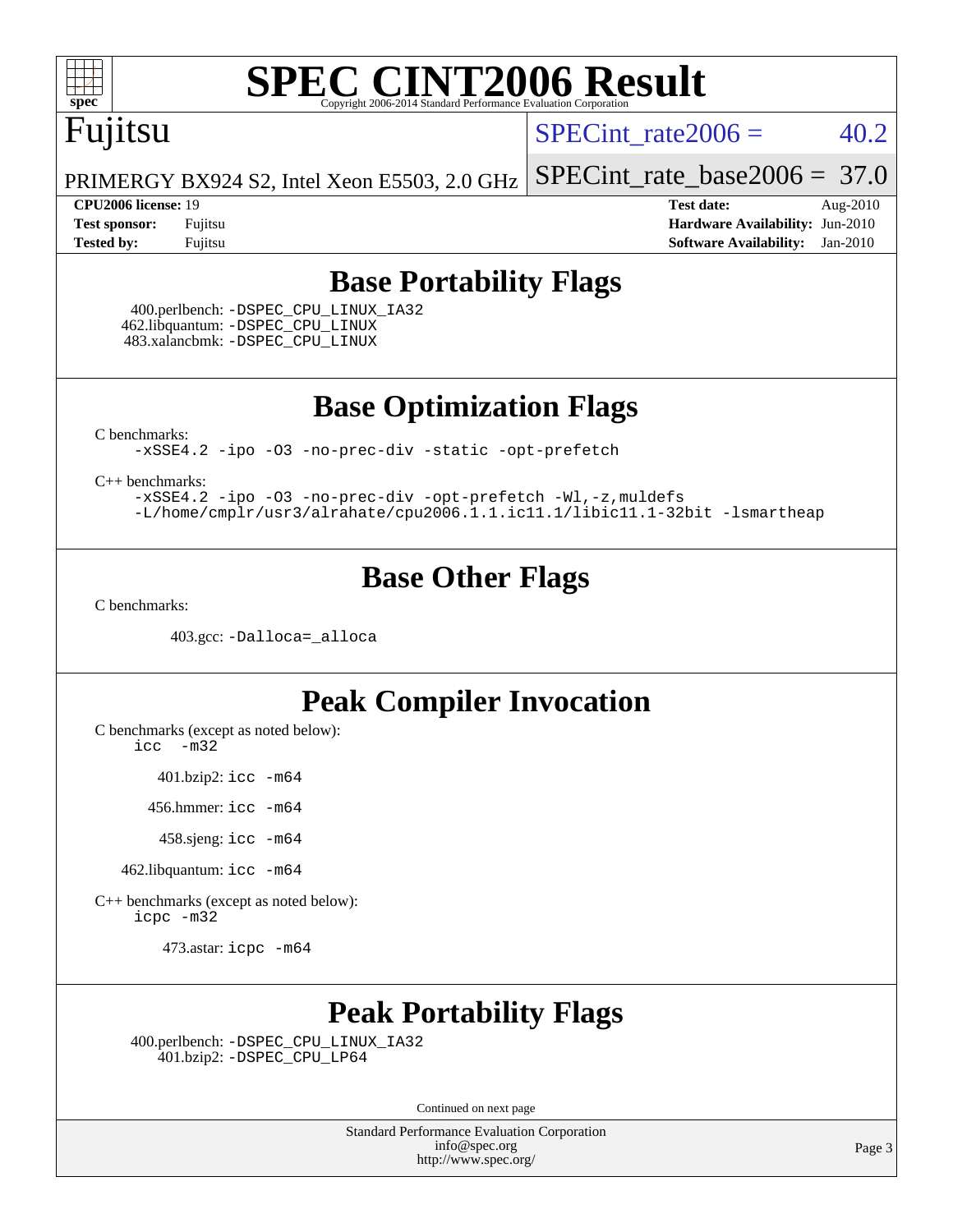

## Fujitsu

SPECint rate  $2006 = 40.2$ 

PRIMERGY BX924 S2, Intel Xeon E5503, 2.0 GHz [SPECint\\_rate\\_base2006 =](http://www.spec.org/auto/cpu2006/Docs/result-fields.html#SPECintratebase2006) 37.0

**[CPU2006 license:](http://www.spec.org/auto/cpu2006/Docs/result-fields.html#CPU2006license)** 19 **[Test date:](http://www.spec.org/auto/cpu2006/Docs/result-fields.html#Testdate)** Aug-2010 **[Test sponsor:](http://www.spec.org/auto/cpu2006/Docs/result-fields.html#Testsponsor)** Fujitsu **[Hardware Availability:](http://www.spec.org/auto/cpu2006/Docs/result-fields.html#HardwareAvailability)** Jun-2010 **[Tested by:](http://www.spec.org/auto/cpu2006/Docs/result-fields.html#Testedby)** Fujitsu **[Software Availability:](http://www.spec.org/auto/cpu2006/Docs/result-fields.html#SoftwareAvailability)** Jan-2010

#### **[Base Portability Flags](http://www.spec.org/auto/cpu2006/Docs/result-fields.html#BasePortabilityFlags)**

 400.perlbench: [-DSPEC\\_CPU\\_LINUX\\_IA32](http://www.spec.org/cpu2006/results/res2010q3/cpu2006-20100827-13082.flags.html#b400.perlbench_baseCPORTABILITY_DSPEC_CPU_LINUX_IA32) 462.libquantum: [-DSPEC\\_CPU\\_LINUX](http://www.spec.org/cpu2006/results/res2010q3/cpu2006-20100827-13082.flags.html#b462.libquantum_baseCPORTABILITY_DSPEC_CPU_LINUX) 483.xalancbmk: [-DSPEC\\_CPU\\_LINUX](http://www.spec.org/cpu2006/results/res2010q3/cpu2006-20100827-13082.flags.html#b483.xalancbmk_baseCXXPORTABILITY_DSPEC_CPU_LINUX)

**[Base Optimization Flags](http://www.spec.org/auto/cpu2006/Docs/result-fields.html#BaseOptimizationFlags)**

[C benchmarks](http://www.spec.org/auto/cpu2006/Docs/result-fields.html#Cbenchmarks):

[-xSSE4.2](http://www.spec.org/cpu2006/results/res2010q3/cpu2006-20100827-13082.flags.html#user_CCbase_f-xSSE42_f91528193cf0b216347adb8b939d4107) [-ipo](http://www.spec.org/cpu2006/results/res2010q3/cpu2006-20100827-13082.flags.html#user_CCbase_f-ipo) [-O3](http://www.spec.org/cpu2006/results/res2010q3/cpu2006-20100827-13082.flags.html#user_CCbase_f-O3) [-no-prec-div](http://www.spec.org/cpu2006/results/res2010q3/cpu2006-20100827-13082.flags.html#user_CCbase_f-no-prec-div) [-static](http://www.spec.org/cpu2006/results/res2010q3/cpu2006-20100827-13082.flags.html#user_CCbase_f-static) [-opt-prefetch](http://www.spec.org/cpu2006/results/res2010q3/cpu2006-20100827-13082.flags.html#user_CCbase_f-opt-prefetch)

[C++ benchmarks:](http://www.spec.org/auto/cpu2006/Docs/result-fields.html#CXXbenchmarks)

[-xSSE4.2](http://www.spec.org/cpu2006/results/res2010q3/cpu2006-20100827-13082.flags.html#user_CXXbase_f-xSSE42_f91528193cf0b216347adb8b939d4107) [-ipo](http://www.spec.org/cpu2006/results/res2010q3/cpu2006-20100827-13082.flags.html#user_CXXbase_f-ipo) [-O3](http://www.spec.org/cpu2006/results/res2010q3/cpu2006-20100827-13082.flags.html#user_CXXbase_f-O3) [-no-prec-div](http://www.spec.org/cpu2006/results/res2010q3/cpu2006-20100827-13082.flags.html#user_CXXbase_f-no-prec-div) [-opt-prefetch](http://www.spec.org/cpu2006/results/res2010q3/cpu2006-20100827-13082.flags.html#user_CXXbase_f-opt-prefetch) [-Wl,-z,muldefs](http://www.spec.org/cpu2006/results/res2010q3/cpu2006-20100827-13082.flags.html#user_CXXbase_link_force_multiple1_74079c344b956b9658436fd1b6dd3a8a) [-L/home/cmplr/usr3/alrahate/cpu2006.1.1.ic11.1/libic11.1-32bit -lsmartheap](http://www.spec.org/cpu2006/results/res2010q3/cpu2006-20100827-13082.flags.html#user_CXXbase_SmartHeap_d86dffe4a79b79ef8890d5cce17030c3)

#### **[Base Other Flags](http://www.spec.org/auto/cpu2006/Docs/result-fields.html#BaseOtherFlags)**

[C benchmarks](http://www.spec.org/auto/cpu2006/Docs/result-fields.html#Cbenchmarks):

403.gcc: [-Dalloca=\\_alloca](http://www.spec.org/cpu2006/results/res2010q3/cpu2006-20100827-13082.flags.html#b403.gcc_baseEXTRA_CFLAGS_Dalloca_be3056838c12de2578596ca5467af7f3)

#### **[Peak Compiler Invocation](http://www.spec.org/auto/cpu2006/Docs/result-fields.html#PeakCompilerInvocation)**

[C benchmarks \(except as noted below\)](http://www.spec.org/auto/cpu2006/Docs/result-fields.html#Cbenchmarksexceptasnotedbelow):

[icc -m32](http://www.spec.org/cpu2006/results/res2010q3/cpu2006-20100827-13082.flags.html#user_CCpeak_intel_icc_32bit_5ff4a39e364c98233615fdd38438c6f2)

401.bzip2: [icc -m64](http://www.spec.org/cpu2006/results/res2010q3/cpu2006-20100827-13082.flags.html#user_peakCCLD401_bzip2_intel_icc_64bit_bda6cc9af1fdbb0edc3795bac97ada53)

456.hmmer: [icc -m64](http://www.spec.org/cpu2006/results/res2010q3/cpu2006-20100827-13082.flags.html#user_peakCCLD456_hmmer_intel_icc_64bit_bda6cc9af1fdbb0edc3795bac97ada53)

458.sjeng: [icc -m64](http://www.spec.org/cpu2006/results/res2010q3/cpu2006-20100827-13082.flags.html#user_peakCCLD458_sjeng_intel_icc_64bit_bda6cc9af1fdbb0edc3795bac97ada53)

462.libquantum: [icc -m64](http://www.spec.org/cpu2006/results/res2010q3/cpu2006-20100827-13082.flags.html#user_peakCCLD462_libquantum_intel_icc_64bit_bda6cc9af1fdbb0edc3795bac97ada53)

[C++ benchmarks \(except as noted below\):](http://www.spec.org/auto/cpu2006/Docs/result-fields.html#CXXbenchmarksexceptasnotedbelow) [icpc -m32](http://www.spec.org/cpu2006/results/res2010q3/cpu2006-20100827-13082.flags.html#user_CXXpeak_intel_icpc_32bit_4e5a5ef1a53fd332b3c49e69c3330699)

473.astar: [icpc -m64](http://www.spec.org/cpu2006/results/res2010q3/cpu2006-20100827-13082.flags.html#user_peakCXXLD473_astar_intel_icpc_64bit_fc66a5337ce925472a5c54ad6a0de310)

#### **[Peak Portability Flags](http://www.spec.org/auto/cpu2006/Docs/result-fields.html#PeakPortabilityFlags)**

 400.perlbench: [-DSPEC\\_CPU\\_LINUX\\_IA32](http://www.spec.org/cpu2006/results/res2010q3/cpu2006-20100827-13082.flags.html#b400.perlbench_peakCPORTABILITY_DSPEC_CPU_LINUX_IA32) 401.bzip2: [-DSPEC\\_CPU\\_LP64](http://www.spec.org/cpu2006/results/res2010q3/cpu2006-20100827-13082.flags.html#suite_peakCPORTABILITY401_bzip2_DSPEC_CPU_LP64)

Continued on next page

Standard Performance Evaluation Corporation [info@spec.org](mailto:info@spec.org) <http://www.spec.org/>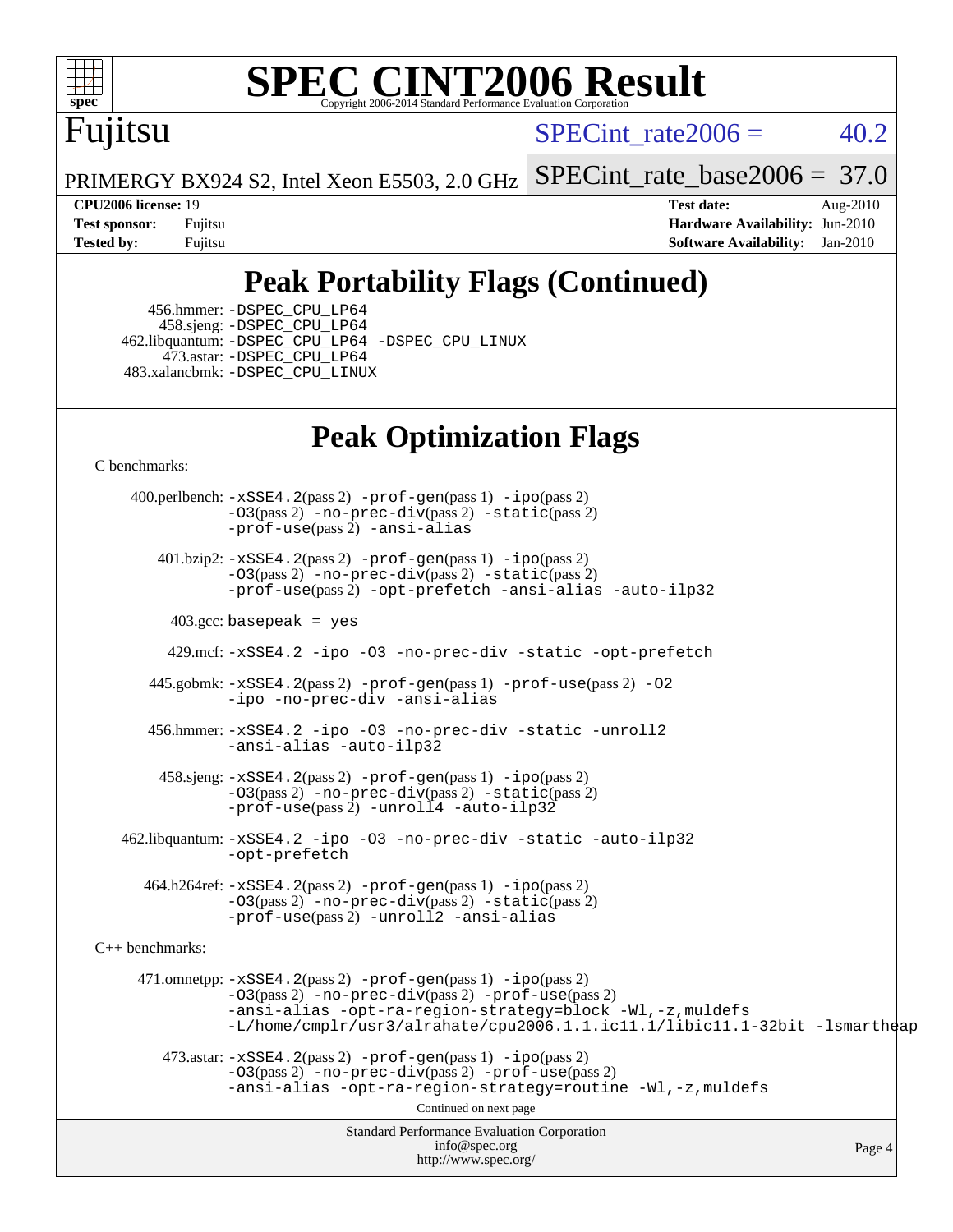

# Fujitsu

SPECint rate  $2006 = 40.2$ 

PRIMERGY BX924 S2, Intel Xeon E5503, 2.0 GHz [SPECint\\_rate\\_base2006 =](http://www.spec.org/auto/cpu2006/Docs/result-fields.html#SPECintratebase2006) 37.0

**[CPU2006 license:](http://www.spec.org/auto/cpu2006/Docs/result-fields.html#CPU2006license)** 19 **[Test date:](http://www.spec.org/auto/cpu2006/Docs/result-fields.html#Testdate)** Aug-2010 **[Test sponsor:](http://www.spec.org/auto/cpu2006/Docs/result-fields.html#Testsponsor)** Fujitsu **[Hardware Availability:](http://www.spec.org/auto/cpu2006/Docs/result-fields.html#HardwareAvailability)** Jun-2010 **[Tested by:](http://www.spec.org/auto/cpu2006/Docs/result-fields.html#Testedby)** Fujitsu **[Software Availability:](http://www.spec.org/auto/cpu2006/Docs/result-fields.html#SoftwareAvailability)** Jan-2010

## **[Peak Portability Flags \(Continued\)](http://www.spec.org/auto/cpu2006/Docs/result-fields.html#PeakPortabilityFlags)**

 456.hmmer: [-DSPEC\\_CPU\\_LP64](http://www.spec.org/cpu2006/results/res2010q3/cpu2006-20100827-13082.flags.html#suite_peakCPORTABILITY456_hmmer_DSPEC_CPU_LP64) 458.sjeng: [-DSPEC\\_CPU\\_LP64](http://www.spec.org/cpu2006/results/res2010q3/cpu2006-20100827-13082.flags.html#suite_peakCPORTABILITY458_sjeng_DSPEC_CPU_LP64) 462.libquantum: [-DSPEC\\_CPU\\_LP64](http://www.spec.org/cpu2006/results/res2010q3/cpu2006-20100827-13082.flags.html#suite_peakCPORTABILITY462_libquantum_DSPEC_CPU_LP64) [-DSPEC\\_CPU\\_LINUX](http://www.spec.org/cpu2006/results/res2010q3/cpu2006-20100827-13082.flags.html#b462.libquantum_peakCPORTABILITY_DSPEC_CPU_LINUX) 473.astar: [-DSPEC\\_CPU\\_LP64](http://www.spec.org/cpu2006/results/res2010q3/cpu2006-20100827-13082.flags.html#suite_peakCXXPORTABILITY473_astar_DSPEC_CPU_LP64) 483.xalancbmk: [-DSPEC\\_CPU\\_LINUX](http://www.spec.org/cpu2006/results/res2010q3/cpu2006-20100827-13082.flags.html#b483.xalancbmk_peakCXXPORTABILITY_DSPEC_CPU_LINUX)

### **[Peak Optimization Flags](http://www.spec.org/auto/cpu2006/Docs/result-fields.html#PeakOptimizationFlags)**

[C benchmarks](http://www.spec.org/auto/cpu2006/Docs/result-fields.html#Cbenchmarks):

Standard Performance Evaluation Corporation [info@spec.org](mailto:info@spec.org) <http://www.spec.org/> Page 4 400.perlbench: [-xSSE4.2](http://www.spec.org/cpu2006/results/res2010q3/cpu2006-20100827-13082.flags.html#user_peakPASS2_CFLAGSPASS2_LDCFLAGS400_perlbench_f-xSSE42_f91528193cf0b216347adb8b939d4107)(pass 2) [-prof-gen](http://www.spec.org/cpu2006/results/res2010q3/cpu2006-20100827-13082.flags.html#user_peakPASS1_CFLAGSPASS1_LDCFLAGS400_perlbench_prof_gen_e43856698f6ca7b7e442dfd80e94a8fc)(pass 1) [-ipo](http://www.spec.org/cpu2006/results/res2010q3/cpu2006-20100827-13082.flags.html#user_peakPASS2_CFLAGSPASS2_LDCFLAGS400_perlbench_f-ipo)(pass 2)  $-03$ (pass 2)  $-$ no-prec-div(pass 2)  $-$ static(pass 2) [-prof-use](http://www.spec.org/cpu2006/results/res2010q3/cpu2006-20100827-13082.flags.html#user_peakPASS2_CFLAGSPASS2_LDCFLAGS400_perlbench_prof_use_bccf7792157ff70d64e32fe3e1250b55)(pass 2) [-ansi-alias](http://www.spec.org/cpu2006/results/res2010q3/cpu2006-20100827-13082.flags.html#user_peakCOPTIMIZE400_perlbench_f-ansi-alias) 401.bzip2: [-xSSE4.2](http://www.spec.org/cpu2006/results/res2010q3/cpu2006-20100827-13082.flags.html#user_peakPASS2_CFLAGSPASS2_LDCFLAGS401_bzip2_f-xSSE42_f91528193cf0b216347adb8b939d4107)(pass 2) [-prof-gen](http://www.spec.org/cpu2006/results/res2010q3/cpu2006-20100827-13082.flags.html#user_peakPASS1_CFLAGSPASS1_LDCFLAGS401_bzip2_prof_gen_e43856698f6ca7b7e442dfd80e94a8fc)(pass 1) [-ipo](http://www.spec.org/cpu2006/results/res2010q3/cpu2006-20100827-13082.flags.html#user_peakPASS2_CFLAGSPASS2_LDCFLAGS401_bzip2_f-ipo)(pass 2) [-O3](http://www.spec.org/cpu2006/results/res2010q3/cpu2006-20100827-13082.flags.html#user_peakPASS2_CFLAGSPASS2_LDCFLAGS401_bzip2_f-O3)(pass 2) [-no-prec-div](http://www.spec.org/cpu2006/results/res2010q3/cpu2006-20100827-13082.flags.html#user_peakPASS2_CFLAGSPASS2_LDCFLAGS401_bzip2_f-no-prec-div)(pass 2) [-static](http://www.spec.org/cpu2006/results/res2010q3/cpu2006-20100827-13082.flags.html#user_peakPASS2_CFLAGSPASS2_LDCFLAGS401_bzip2_f-static)(pass 2) [-prof-use](http://www.spec.org/cpu2006/results/res2010q3/cpu2006-20100827-13082.flags.html#user_peakPASS2_CFLAGSPASS2_LDCFLAGS401_bzip2_prof_use_bccf7792157ff70d64e32fe3e1250b55)(pass 2) [-opt-prefetch](http://www.spec.org/cpu2006/results/res2010q3/cpu2006-20100827-13082.flags.html#user_peakCOPTIMIZE401_bzip2_f-opt-prefetch) [-ansi-alias](http://www.spec.org/cpu2006/results/res2010q3/cpu2006-20100827-13082.flags.html#user_peakCOPTIMIZE401_bzip2_f-ansi-alias) [-auto-ilp32](http://www.spec.org/cpu2006/results/res2010q3/cpu2006-20100827-13082.flags.html#user_peakCOPTIMIZE401_bzip2_f-auto-ilp32)  $403.\text{gcc: basepeak}$  = yes 429.mcf: [-xSSE4.2](http://www.spec.org/cpu2006/results/res2010q3/cpu2006-20100827-13082.flags.html#user_peakCOPTIMIZE429_mcf_f-xSSE42_f91528193cf0b216347adb8b939d4107) [-ipo](http://www.spec.org/cpu2006/results/res2010q3/cpu2006-20100827-13082.flags.html#user_peakCOPTIMIZE429_mcf_f-ipo) [-O3](http://www.spec.org/cpu2006/results/res2010q3/cpu2006-20100827-13082.flags.html#user_peakCOPTIMIZE429_mcf_f-O3) [-no-prec-div](http://www.spec.org/cpu2006/results/res2010q3/cpu2006-20100827-13082.flags.html#user_peakCOPTIMIZE429_mcf_f-no-prec-div) [-static](http://www.spec.org/cpu2006/results/res2010q3/cpu2006-20100827-13082.flags.html#user_peakCOPTIMIZE429_mcf_f-static) [-opt-prefetch](http://www.spec.org/cpu2006/results/res2010q3/cpu2006-20100827-13082.flags.html#user_peakCOPTIMIZE429_mcf_f-opt-prefetch) 445.gobmk: [-xSSE4.2](http://www.spec.org/cpu2006/results/res2010q3/cpu2006-20100827-13082.flags.html#user_peakPASS2_CFLAGSPASS2_LDCFLAGS445_gobmk_f-xSSE42_f91528193cf0b216347adb8b939d4107)(pass 2) [-prof-gen](http://www.spec.org/cpu2006/results/res2010q3/cpu2006-20100827-13082.flags.html#user_peakPASS1_CFLAGSPASS1_LDCFLAGS445_gobmk_prof_gen_e43856698f6ca7b7e442dfd80e94a8fc)(pass 1) [-prof-use](http://www.spec.org/cpu2006/results/res2010q3/cpu2006-20100827-13082.flags.html#user_peakPASS2_CFLAGSPASS2_LDCFLAGS445_gobmk_prof_use_bccf7792157ff70d64e32fe3e1250b55)(pass 2) [-O2](http://www.spec.org/cpu2006/results/res2010q3/cpu2006-20100827-13082.flags.html#user_peakCOPTIMIZE445_gobmk_f-O2) [-ipo](http://www.spec.org/cpu2006/results/res2010q3/cpu2006-20100827-13082.flags.html#user_peakCOPTIMIZE445_gobmk_f-ipo) [-no-prec-div](http://www.spec.org/cpu2006/results/res2010q3/cpu2006-20100827-13082.flags.html#user_peakCOPTIMIZE445_gobmk_f-no-prec-div) [-ansi-alias](http://www.spec.org/cpu2006/results/res2010q3/cpu2006-20100827-13082.flags.html#user_peakCOPTIMIZE445_gobmk_f-ansi-alias) 456.hmmer: [-xSSE4.2](http://www.spec.org/cpu2006/results/res2010q3/cpu2006-20100827-13082.flags.html#user_peakCOPTIMIZE456_hmmer_f-xSSE42_f91528193cf0b216347adb8b939d4107) [-ipo](http://www.spec.org/cpu2006/results/res2010q3/cpu2006-20100827-13082.flags.html#user_peakCOPTIMIZE456_hmmer_f-ipo) [-O3](http://www.spec.org/cpu2006/results/res2010q3/cpu2006-20100827-13082.flags.html#user_peakCOPTIMIZE456_hmmer_f-O3) [-no-prec-div](http://www.spec.org/cpu2006/results/res2010q3/cpu2006-20100827-13082.flags.html#user_peakCOPTIMIZE456_hmmer_f-no-prec-div) [-static](http://www.spec.org/cpu2006/results/res2010q3/cpu2006-20100827-13082.flags.html#user_peakCOPTIMIZE456_hmmer_f-static) [-unroll2](http://www.spec.org/cpu2006/results/res2010q3/cpu2006-20100827-13082.flags.html#user_peakCOPTIMIZE456_hmmer_f-unroll_784dae83bebfb236979b41d2422d7ec2) [-ansi-alias](http://www.spec.org/cpu2006/results/res2010q3/cpu2006-20100827-13082.flags.html#user_peakCOPTIMIZE456_hmmer_f-ansi-alias) [-auto-ilp32](http://www.spec.org/cpu2006/results/res2010q3/cpu2006-20100827-13082.flags.html#user_peakCOPTIMIZE456_hmmer_f-auto-ilp32) 458.sjeng: [-xSSE4.2](http://www.spec.org/cpu2006/results/res2010q3/cpu2006-20100827-13082.flags.html#user_peakPASS2_CFLAGSPASS2_LDCFLAGS458_sjeng_f-xSSE42_f91528193cf0b216347adb8b939d4107)(pass 2) [-prof-gen](http://www.spec.org/cpu2006/results/res2010q3/cpu2006-20100827-13082.flags.html#user_peakPASS1_CFLAGSPASS1_LDCFLAGS458_sjeng_prof_gen_e43856698f6ca7b7e442dfd80e94a8fc)(pass 1) [-ipo](http://www.spec.org/cpu2006/results/res2010q3/cpu2006-20100827-13082.flags.html#user_peakPASS2_CFLAGSPASS2_LDCFLAGS458_sjeng_f-ipo)(pass 2) [-O3](http://www.spec.org/cpu2006/results/res2010q3/cpu2006-20100827-13082.flags.html#user_peakPASS2_CFLAGSPASS2_LDCFLAGS458_sjeng_f-O3)(pass 2) [-no-prec-div](http://www.spec.org/cpu2006/results/res2010q3/cpu2006-20100827-13082.flags.html#user_peakPASS2_CFLAGSPASS2_LDCFLAGS458_sjeng_f-no-prec-div)(pass 2) [-static](http://www.spec.org/cpu2006/results/res2010q3/cpu2006-20100827-13082.flags.html#user_peakPASS2_CFLAGSPASS2_LDCFLAGS458_sjeng_f-static)(pass 2) [-prof-use](http://www.spec.org/cpu2006/results/res2010q3/cpu2006-20100827-13082.flags.html#user_peakPASS2_CFLAGSPASS2_LDCFLAGS458_sjeng_prof_use_bccf7792157ff70d64e32fe3e1250b55)(pass 2) [-unroll4](http://www.spec.org/cpu2006/results/res2010q3/cpu2006-20100827-13082.flags.html#user_peakCOPTIMIZE458_sjeng_f-unroll_4e5e4ed65b7fd20bdcd365bec371b81f) [-auto-ilp32](http://www.spec.org/cpu2006/results/res2010q3/cpu2006-20100827-13082.flags.html#user_peakCOPTIMIZE458_sjeng_f-auto-ilp32) 462.libquantum: [-xSSE4.2](http://www.spec.org/cpu2006/results/res2010q3/cpu2006-20100827-13082.flags.html#user_peakCOPTIMIZE462_libquantum_f-xSSE42_f91528193cf0b216347adb8b939d4107) [-ipo](http://www.spec.org/cpu2006/results/res2010q3/cpu2006-20100827-13082.flags.html#user_peakCOPTIMIZE462_libquantum_f-ipo) [-O3](http://www.spec.org/cpu2006/results/res2010q3/cpu2006-20100827-13082.flags.html#user_peakCOPTIMIZE462_libquantum_f-O3) [-no-prec-div](http://www.spec.org/cpu2006/results/res2010q3/cpu2006-20100827-13082.flags.html#user_peakCOPTIMIZE462_libquantum_f-no-prec-div) [-static](http://www.spec.org/cpu2006/results/res2010q3/cpu2006-20100827-13082.flags.html#user_peakCOPTIMIZE462_libquantum_f-static) [-auto-ilp32](http://www.spec.org/cpu2006/results/res2010q3/cpu2006-20100827-13082.flags.html#user_peakCOPTIMIZE462_libquantum_f-auto-ilp32) [-opt-prefetch](http://www.spec.org/cpu2006/results/res2010q3/cpu2006-20100827-13082.flags.html#user_peakCOPTIMIZE462_libquantum_f-opt-prefetch) 464.h264ref: [-xSSE4.2](http://www.spec.org/cpu2006/results/res2010q3/cpu2006-20100827-13082.flags.html#user_peakPASS2_CFLAGSPASS2_LDCFLAGS464_h264ref_f-xSSE42_f91528193cf0b216347adb8b939d4107)(pass 2) [-prof-gen](http://www.spec.org/cpu2006/results/res2010q3/cpu2006-20100827-13082.flags.html#user_peakPASS1_CFLAGSPASS1_LDCFLAGS464_h264ref_prof_gen_e43856698f6ca7b7e442dfd80e94a8fc)(pass 1) [-ipo](http://www.spec.org/cpu2006/results/res2010q3/cpu2006-20100827-13082.flags.html#user_peakPASS2_CFLAGSPASS2_LDCFLAGS464_h264ref_f-ipo)(pass 2) [-O3](http://www.spec.org/cpu2006/results/res2010q3/cpu2006-20100827-13082.flags.html#user_peakPASS2_CFLAGSPASS2_LDCFLAGS464_h264ref_f-O3)(pass 2) [-no-prec-div](http://www.spec.org/cpu2006/results/res2010q3/cpu2006-20100827-13082.flags.html#user_peakPASS2_CFLAGSPASS2_LDCFLAGS464_h264ref_f-no-prec-div)(pass 2) [-static](http://www.spec.org/cpu2006/results/res2010q3/cpu2006-20100827-13082.flags.html#user_peakPASS2_CFLAGSPASS2_LDCFLAGS464_h264ref_f-static)(pass 2) [-prof-use](http://www.spec.org/cpu2006/results/res2010q3/cpu2006-20100827-13082.flags.html#user_peakPASS2_CFLAGSPASS2_LDCFLAGS464_h264ref_prof_use_bccf7792157ff70d64e32fe3e1250b55)(pass 2) [-unroll2](http://www.spec.org/cpu2006/results/res2010q3/cpu2006-20100827-13082.flags.html#user_peakCOPTIMIZE464_h264ref_f-unroll_784dae83bebfb236979b41d2422d7ec2) [-ansi-alias](http://www.spec.org/cpu2006/results/res2010q3/cpu2006-20100827-13082.flags.html#user_peakCOPTIMIZE464_h264ref_f-ansi-alias) [C++ benchmarks:](http://www.spec.org/auto/cpu2006/Docs/result-fields.html#CXXbenchmarks) 471.omnetpp: [-xSSE4.2](http://www.spec.org/cpu2006/results/res2010q3/cpu2006-20100827-13082.flags.html#user_peakPASS2_CXXFLAGSPASS2_LDCXXFLAGS471_omnetpp_f-xSSE42_f91528193cf0b216347adb8b939d4107)(pass 2) [-prof-gen](http://www.spec.org/cpu2006/results/res2010q3/cpu2006-20100827-13082.flags.html#user_peakPASS1_CXXFLAGSPASS1_LDCXXFLAGS471_omnetpp_prof_gen_e43856698f6ca7b7e442dfd80e94a8fc)(pass 1) [-ipo](http://www.spec.org/cpu2006/results/res2010q3/cpu2006-20100827-13082.flags.html#user_peakPASS2_CXXFLAGSPASS2_LDCXXFLAGS471_omnetpp_f-ipo)(pass 2) [-O3](http://www.spec.org/cpu2006/results/res2010q3/cpu2006-20100827-13082.flags.html#user_peakPASS2_CXXFLAGSPASS2_LDCXXFLAGS471_omnetpp_f-O3)(pass 2) [-no-prec-div](http://www.spec.org/cpu2006/results/res2010q3/cpu2006-20100827-13082.flags.html#user_peakPASS2_CXXFLAGSPASS2_LDCXXFLAGS471_omnetpp_f-no-prec-div)(pass 2) [-prof-use](http://www.spec.org/cpu2006/results/res2010q3/cpu2006-20100827-13082.flags.html#user_peakPASS2_CXXFLAGSPASS2_LDCXXFLAGS471_omnetpp_prof_use_bccf7792157ff70d64e32fe3e1250b55)(pass 2) [-ansi-alias](http://www.spec.org/cpu2006/results/res2010q3/cpu2006-20100827-13082.flags.html#user_peakCXXOPTIMIZE471_omnetpp_f-ansi-alias) [-opt-ra-region-strategy=block](http://www.spec.org/cpu2006/results/res2010q3/cpu2006-20100827-13082.flags.html#user_peakCXXOPTIMIZE471_omnetpp_f-opt-ra-region-strategy-block_a0a37c372d03933b2a18d4af463c1f69) [-Wl,-z,muldefs](http://www.spec.org/cpu2006/results/res2010q3/cpu2006-20100827-13082.flags.html#user_peakEXTRA_LDFLAGS471_omnetpp_link_force_multiple1_74079c344b956b9658436fd1b6dd3a8a) [-L/home/cmplr/usr3/alrahate/cpu2006.1.1.ic11.1/libic11.1-32bit -lsmartheap](http://www.spec.org/cpu2006/results/res2010q3/cpu2006-20100827-13082.flags.html#user_peakEXTRA_LIBS471_omnetpp_SmartHeap_d86dffe4a79b79ef8890d5cce17030c3)  $473.\text{astar: } -xSSE4$ .  $2(\text{pass 2})$   $-\text{prof-gen}(\text{pass 1})$   $-i\text{po}(\text{pass 2})$ [-O3](http://www.spec.org/cpu2006/results/res2010q3/cpu2006-20100827-13082.flags.html#user_peakPASS2_CXXFLAGSPASS2_LDCXXFLAGS473_astar_f-O3)(pass 2) [-no-prec-div](http://www.spec.org/cpu2006/results/res2010q3/cpu2006-20100827-13082.flags.html#user_peakPASS2_CXXFLAGSPASS2_LDCXXFLAGS473_astar_f-no-prec-div)(pass 2) [-prof-use](http://www.spec.org/cpu2006/results/res2010q3/cpu2006-20100827-13082.flags.html#user_peakPASS2_CXXFLAGSPASS2_LDCXXFLAGS473_astar_prof_use_bccf7792157ff70d64e32fe3e1250b55)(pass 2) [-ansi-alias](http://www.spec.org/cpu2006/results/res2010q3/cpu2006-20100827-13082.flags.html#user_peakCXXOPTIMIZE473_astar_f-ansi-alias) [-opt-ra-region-strategy=routine](http://www.spec.org/cpu2006/results/res2010q3/cpu2006-20100827-13082.flags.html#user_peakCXXOPTIMIZE473_astar_f-opt-ra-region-strategy-routine_ba086ea3b1d46a52e1238e2ca173ed44) [-Wl,-z,muldefs](http://www.spec.org/cpu2006/results/res2010q3/cpu2006-20100827-13082.flags.html#user_peakEXTRA_LDFLAGS473_astar_link_force_multiple1_74079c344b956b9658436fd1b6dd3a8a) Continued on next page